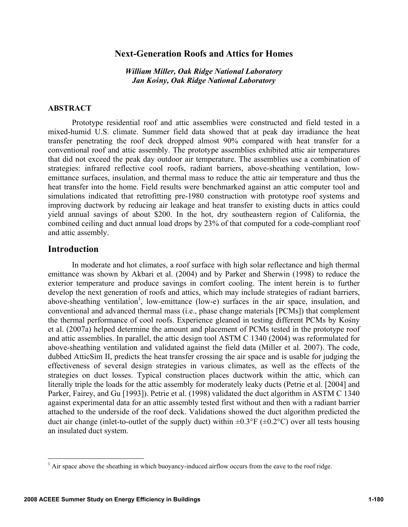# **Next-Generation Roofs and Attics for Homes**

*William Miller, Oak Ridge National Laboratory Jan Kośny, Oak Ridge National Laboratory* 

### **ABSTRACT**

Prototype residential roof and attic assemblies were constructed and field tested in a mixed-humid U.S. climate. Summer field data showed that at peak day irradiance the heat transfer penetrating the roof deck dropped almost 90% compared with heat transfer for a conventional roof and attic assembly. The prototype assemblies exhibited attic air temperatures that did not exceed the peak day outdoor air temperature. The assemblies use a combination of strategies: infrared reflective cool roofs, radiant barriers, above-sheathing ventilation, lowemittance surfaces, insulation, and thermal mass to reduce the attic air temperature and thus the heat transfer into the home. Field results were benchmarked against an attic computer tool and simulations indicated that retrofitting pre-1980 construction with prototype roof systems and improving ductwork by reducing air leakage and heat transfer to existing ducts in attics could yield annual savings of about \$200. In the hot, dry southeastern region of California, the combined ceiling and duct annual load drops by 23% of that computed for a code-compliant roof and attic assembly.

# **Introduction**

In moderate and hot climates, a roof surface with high solar reflectance and high thermal emittance was shown by Akbari et al. (2004) and by Parker and Sherwin (1998) to reduce the exterior temperature and produce savings in comfort cooling. The intent herein is to further develop the next generation of roofs and attics, which may include strategies of radiant barriers, above-sheathing ventilation<sup>1</sup>, low-emittance (low-e) surfaces in the air space, insulation, and conventional and advanced thermal mass (i.e., phase change materials [PCMs]) that complement the thermal performance of cool roofs. Experience gleaned in testing different PCMs by Kośny et al. (2007a) helped determine the amount and placement of PCMs tested in the prototype roof and attic assemblies. In parallel, the attic design tool ASTM C 1340 (2004) was reformulated for above-sheathing ventilation and validated against the field data (Miller et al. 2007). The code, dubbed AtticSim II, predicts the heat transfer crossing the air space and is usable for judging the effectiveness of several design strategies in various climates, as well as the effects of the strategies on duct losses. Typical construction places ductwork within the attic, which can literally triple the loads for the attic assembly for moderately leaky ducts (Petrie et al. [2004] and Parker, Fairey, and Gu [1993]). Petrie et al. (1998) validated the duct algorithm in ASTM C 1340 against experimental data for an attic assembly tested first without and then with a radiant barrier attached to the underside of the roof deck. Validations showed the duct algorithm predicted the duct air change (inlet-to-outlet of the supply duct) within  $\pm 0.3^{\circ}F$  ( $\pm 0.2^{\circ}C$ ) over all tests housing an insulated duct system.

<sup>&</sup>lt;sup>1</sup> Air space above the sheathing in which buoyancy-induced airflow occurs from the eave to the roof ridge.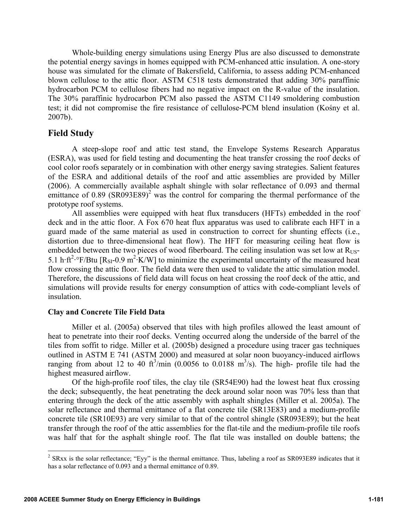Whole-building energy simulations using Energy Plus are also discussed to demonstrate the potential energy savings in homes equipped with PCM-enhanced attic insulation. A one-story house was simulated for the climate of Bakersfield, California, to assess adding PCM-enhanced blown cellulose to the attic floor. ASTM C518 tests demonstrated that adding 30% paraffinic hydrocarbon PCM to cellulose fibers had no negative impact on the R-value of the insulation. The 30% paraffinic hydrocarbon PCM also passed the ASTM C1149 smoldering combustion test; it did not compromise the fire resistance of cellulose-PCM blend insulation (Kośny et al. 2007b).

# **Field Study**

A steep-slope roof and attic test stand, the Envelope Systems Research Apparatus (ESRA), was used for field testing and documenting the heat transfer crossing the roof decks of cool color roofs separately or in combination with other energy saving strategies. Salient features of the ESRA and additional details of the roof and attic assemblies are provided by Miller (2006). A commercially available asphalt shingle with solar reflectance of 0.093 and thermal emittance of  $0.89$  (SR093E89)<sup>2</sup> was the control for comparing the thermal performance of the prototype roof systems.

All assemblies were equipped with heat flux transducers (HFTs) embedded in the roof deck and in the attic floor. A Fox 670 heat flux apparatus was used to calibrate each HFT in a guard made of the same material as used in construction to correct for shunting effects (i.e., distortion due to three-dimensional heat flow). The HFT for measuring ceiling heat flow is embedded between the two pieces of wood fiberboard. The ceiling insulation was set low at R<sub>US</sub>-5.1 h·ft<sup>2</sup>·°F/Btu [R<sub>SI</sub>-0.9 m<sup>2</sup>·K/W] to minimize the experimental uncertainty of the measured heat flow crossing the attic floor. The field data were then used to validate the attic simulation model. Therefore, the discussions of field data will focus on heat crossing the roof deck of the attic, and simulations will provide results for energy consumption of attics with code-compliant levels of insulation.

### **Clay and Concrete Tile Field Data**

Miller et al. (2005a) observed that tiles with high profiles allowed the least amount of heat to penetrate into their roof decks. Venting occurred along the underside of the barrel of the tiles from soffit to ridge. Miller et al. (2005b) designed a procedure using tracer gas techniques outlined in ASTM E 741 (ASTM 2000) and measured at solar noon buoyancy-induced airflows ranging from about 12 to 40 ft<sup>3</sup>/min (0.0056 to 0.0188 m<sup>3</sup>/s). The high- profile tile had the highest measured airflow.

Of the high-profile roof tiles, the clay tile (SR54E90) had the lowest heat flux crossing the deck; subsequently, the heat penetrating the deck around solar noon was 70% less than that entering through the deck of the attic assembly with asphalt shingles (Miller et al. 2005a). The solar reflectance and thermal emittance of a flat concrete tile (SR13E83) and a medium-profile concrete tile (SR10E93) are very similar to that of the control shingle (SR093E89); but the heat transfer through the roof of the attic assemblies for the flat-tile and the medium-profile tile roofs was half that for the asphalt shingle roof. The flat tile was installed on double battens; the

<sup>&</sup>lt;sup>2</sup> SRxx is the solar reflectance; "Eyy" is the thermal emittance. Thus, labeling a roof as SR093E89 indicates that it has a solar reflectance of 0.093 and a thermal emittance of 0.89.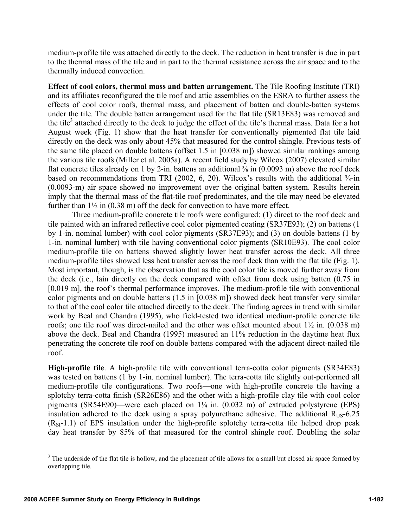medium-profile tile was attached directly to the deck. The reduction in heat transfer is due in part to the thermal mass of the tile and in part to the thermal resistance across the air space and to the thermally induced convection.

**Effect of cool colors, thermal mass and batten arrangement.** The Tile Roofing Institute (TRI) and its affiliates reconfigured the tile roof and attic assemblies on the ESRA to further assess the effects of cool color roofs, thermal mass, and placement of batten and double-batten systems under the tile. The double batten arrangement used for the flat tile (SR13E83) was removed and the tile<sup>3</sup> attached directly to the deck to judge the effect of the tile's thermal mass. Data for a hot August week (Fig. 1) show that the heat transfer for conventionally pigmented flat tile laid directly on the deck was only about 45% that measured for the control shingle. Previous tests of the same tile placed on double battens (offset 1.5 in [0.038 m]) showed similar rankings among the various tile roofs (Miller et al. 2005a). A recent field study by Wilcox (2007) elevated similar flat concrete tiles already on 1 by 2-in. battens an additional  $\frac{3}{8}$  in (0.0093 m) above the roof deck based on recommendations from TRI (2002, 6, 20). Wilcox's results with the additional  $\frac{3}{8}$ -in (0.0093-m) air space showed no improvement over the original batten system. Results herein imply that the thermal mass of the flat-tile roof predominates, and the tile may need be elevated further than  $1\frac{1}{2}$  in (0.38 m) off the deck for convection to have more effect.

Three medium-profile concrete tile roofs were configured: (1) direct to the roof deck and tile painted with an infrared reflective cool color pigmented coating (SR37E93); (2) on battens (1 by 1-in. nominal lumber) with cool color pigments (SR37E93); and (3) on double battens (1 by 1-in. nominal lumber) with tile having conventional color pigments (SR10E93). The cool color medium-profile tile on battens showed slightly lower heat transfer across the deck. All three medium-profile tiles showed less heat transfer across the roof deck than with the flat tile (Fig. 1). Most important, though, is the observation that as the cool color tile is moved further away from the deck (i.e., lain directly on the deck compared with offset from deck using batten (0.75 in [0.019 m], the roof's thermal performance improves. The medium-profile tile with conventional color pigments and on double battens (1.5 in [0.038 m]) showed deck heat transfer very similar to that of the cool color tile attached directly to the deck. The finding agrees in trend with similar work by Beal and Chandra (1995), who field-tested two identical medium-profile concrete tile roofs; one tile roof was direct-nailed and the other was offset mounted about 1½ in. (0.038 m) above the deck. Beal and Chandra (1995) measured an 11% reduction in the daytime heat flux penetrating the concrete tile roof on double battens compared with the adjacent direct-nailed tile roof.

**High-profile tile**. A high-profile tile with conventional terra-cotta color pigments (SR34E83) was tested on battens (1 by 1-in. nominal lumber). The terra-cotta tile slightly out-performed all medium-profile tile configurations. Two roofs—one with high-profile concrete tile having a splotchy terra-cotta finish (SR26E86) and the other with a high-profile clay tile with cool color pigments (SR54E90)—were each placed on 1¼ in. (0.032 m) of extruded polystyrene (EPS) insulation adhered to the deck using a spray polyurethane adhesive. The additional  $R_{US}$ -6.25  $(R<sub>SI</sub>-1.1)$  of EPS insulation under the high-profile splotchy terra-cotta tile helped drop peak day heat transfer by 85% of that measured for the control shingle roof. Doubling the solar

 $3$  The underside of the flat tile is hollow, and the placement of tile allows for a small but closed air space formed by overlapping tile.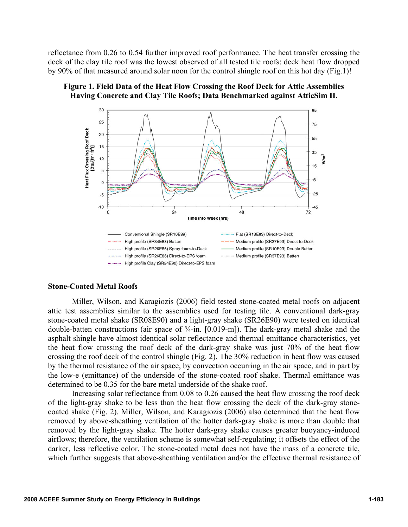reflectance from 0.26 to 0.54 further improved roof performance. The heat transfer crossing the deck of the clay tile roof was the lowest observed of all tested tile roofs: deck heat flow dropped by 90% of that measured around solar noon for the control shingle roof on this hot day (Fig.1)!





#### **Stone-Coated Metal Roofs**

Miller, Wilson, and Karagiozis (2006) field tested stone-coated metal roofs on adjacent attic test assemblies similar to the assemblies used for testing tile. A conventional dark-gray stone-coated metal shake (SR08E90) and a light-gray shake (SR26E90) were tested on identical double-batten constructions (air space of  $\frac{3}{4}$ -in. [0.019-m]). The dark-gray metal shake and the asphalt shingle have almost identical solar reflectance and thermal emittance characteristics, yet the heat flow crossing the roof deck of the dark-gray shake was just 70% of the heat flow crossing the roof deck of the control shingle (Fig. 2). The 30% reduction in heat flow was caused by the thermal resistance of the air space, by convection occurring in the air space, and in part by the low-e (emittance) of the underside of the stone-coated roof shake. Thermal emittance was determined to be 0.35 for the bare metal underside of the shake roof.

Increasing solar reflectance from 0.08 to 0.26 caused the heat flow crossing the roof deck of the light-gray shake to be less than the heat flow crossing the deck of the dark-gray stonecoated shake (Fig. 2). Miller, Wilson, and Karagiozis (2006) also determined that the heat flow removed by above-sheathing ventilation of the hotter dark-gray shake is more than double that removed by the light-gray shake. The hotter dark-gray shake causes greater buoyancy-induced airflows; therefore, the ventilation scheme is somewhat self-regulating; it offsets the effect of the darker, less reflective color. The stone-coated metal does not have the mass of a concrete tile, which further suggests that above-sheathing ventilation and/or the effective thermal resistance of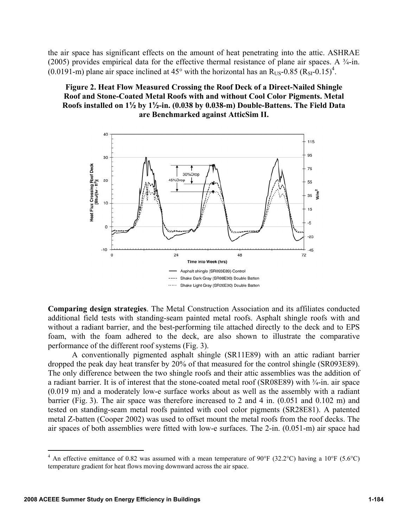the air space has significant effects on the amount of heat penetrating into the attic. ASHRAE (2005) provides empirical data for the effective thermal resistance of plane air spaces. A  $\frac{3}{4}$ -in. (0.0191-m) plane air space inclined at 45° with the horizontal has an  $R_{US}$ -0.85 ( $R_{SI}$ -0.15)<sup>4</sup>.

# **Figure 2. Heat Flow Measured Crossing the Roof Deck of a Direct-Nailed Shingle Roof and Stone-Coated Metal Roofs with and without Cool Color Pigments. Metal Roofs installed on 1½ by 1½-in. (0.038 by 0.038-m) Double-Battens. The Field Data are Benchmarked against AtticSim II.**



**Comparing design strategies**. The Metal Construction Association and its affiliates conducted additional field tests with standing-seam painted metal roofs. Asphalt shingle roofs with and without a radiant barrier, and the best-performing tile attached directly to the deck and to EPS foam, with the foam adhered to the deck, are also shown to illustrate the comparative performance of the different roof systems (Fig. 3).

A conventionally pigmented asphalt shingle (SR11E89) with an attic radiant barrier dropped the peak day heat transfer by 20% of that measured for the control shingle (SR093E89). The only difference between the two shingle roofs and their attic assemblies was the addition of a radiant barrier. It is of interest that the stone-coated metal roof (SR08E89) with ¾-in. air space (0.019 m) and a moderately low-e surface works about as well as the assembly with a radiant barrier (Fig. 3). The air space was therefore increased to 2 and 4 in. (0.051 and 0.102 m) and tested on standing-seam metal roofs painted with cool color pigments (SR28E81). A patented metal Z-batten (Cooper 2002) was used to offset mount the metal roofs from the roof decks. The air spaces of both assemblies were fitted with low-e surfaces. The 2-in. (0.051-m) air space had

<sup>&</sup>lt;sup>4</sup> An effective emittance of 0.82 was assumed with a mean temperature of 90°F (32.2°C) having a 10°F (5.6°C) temperature gradient for heat flows moving downward across the air space.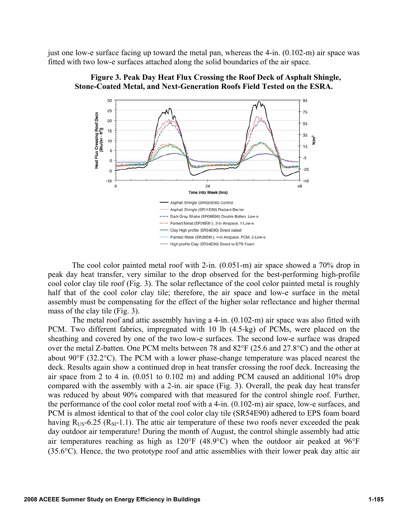just one low-e surface facing up toward the metal pan, whereas the 4-in. (0.102-m) air space was fitted with two low-e surfaces attached along the solid boundaries of the air space.



**Figure 3. Peak Day Heat Flux Crossing the Roof Deck of Asphalt Shingle, Stone-Coated Metal, and Next-Generation Roofs Field Tested on the ESRA.** 

The cool color painted metal roof with 2-in. (0.051-m) air space showed a 70% drop in peak day heat transfer, very similar to the drop observed for the best-performing high-profile cool color clay tile roof (Fig. 3). The solar reflectance of the cool color painted metal is roughly half that of the cool color clay tile; therefore, the air space and low-e surface in the metal assembly must be compensating for the effect of the higher solar reflectance and higher thermal mass of the clay tile (Fig. 3).

The metal roof and attic assembly having a 4-in. (0.102-m) air space was also fitted with PCM. Two different fabrics, impregnated with 10 lb (4.5-kg) of PCMs, were placed on the sheathing and covered by one of the two low-e surfaces. The second low-e surface was draped over the metal Z-batten. One PCM melts between 78 and 82°F (25.6 and 27.8°C) and the other at about 90°F (32.2°C). The PCM with a lower phase-change temperature was placed nearest the deck. Results again show a continued drop in heat transfer crossing the roof deck. Increasing the air space from 2 to 4 in. (0.051 to 0.102 m) and adding PCM caused an additional 10% drop compared with the assembly with a 2-in. air space (Fig. 3). Overall, the peak day heat transfer was reduced by about 90% compared with that measured for the control shingle roof. Further, the performance of the cool color metal roof with a 4-in. (0.102-m) air space, low-e surfaces, and PCM is almost identical to that of the cool color clay tile (SR54E90) adhered to EPS foam board having  $R_{US}$ -6.25 ( $R_{SI}$ -1.1). The attic air temperature of these two roofs never exceeded the peak day outdoor air temperature! During the month of August, the control shingle assembly had attic air temperatures reaching as high as 120°F (48.9°C) when the outdoor air peaked at 96°F (35.6°C). Hence, the two prototype roof and attic assemblies with their lower peak day attic air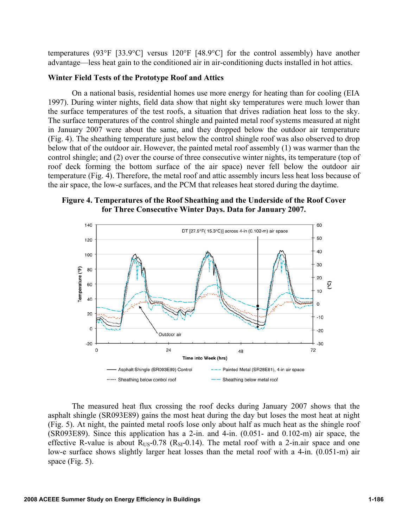temperatures (93°F [33.9°C] versus 120°F [48.9°C] for the control assembly) have another advantage—less heat gain to the conditioned air in air-conditioning ducts installed in hot attics.

#### **Winter Field Tests of the Prototype Roof and Attics**

On a national basis, residential homes use more energy for heating than for cooling (EIA 1997). During winter nights, field data show that night sky temperatures were much lower than the surface temperatures of the test roofs, a situation that drives radiation heat loss to the sky. The surface temperatures of the control shingle and painted metal roof systems measured at night in January 2007 were about the same, and they dropped below the outdoor air temperature (Fig. 4). The sheathing temperature just below the control shingle roof was also observed to drop below that of the outdoor air. However, the painted metal roof assembly (1) was warmer than the control shingle; and (2) over the course of three consecutive winter nights, its temperature (top of roof deck forming the bottom surface of the air space) never fell below the outdoor air temperature (Fig. 4). Therefore, the metal roof and attic assembly incurs less heat loss because of the air space, the low-e surfaces, and the PCM that releases heat stored during the daytime.

**Figure 4. Temperatures of the Roof Sheathing and the Underside of the Roof Cover for Three Consecutive Winter Days. Data for January 2007.** 



The measured heat flux crossing the roof decks during January 2007 shows that the asphalt shingle (SR093E89) gains the most heat during the day but loses the most heat at night (Fig. 5). At night, the painted metal roofs lose only about half as much heat as the shingle roof (SR093E89). Since this application has a 2-in. and 4-in. (0.051- and 0.102-m) air space, the effective R-value is about  $R_{US}$ -0.78 ( $R_{SI}$ -0.14). The metal roof with a 2-in.air space and one low-e surface shows slightly larger heat losses than the metal roof with a 4-in. (0.051-m) air space (Fig. 5).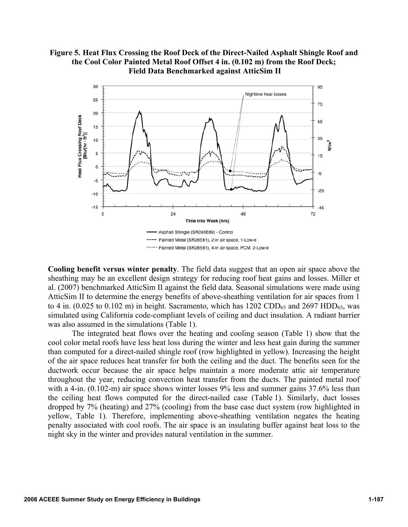# **Figure 5. Heat Flux Crossing the Roof Deck of the Direct-Nailed Asphalt Shingle Roof and the Cool Color Painted Metal Roof Offset 4 in. (0.102 m) from the Roof Deck; Field Data Benchmarked against AtticSim II**



**Cooling benefit versus winter penalty**. The field data suggest that an open air space above the sheathing may be an excellent design strategy for reducing roof heat gains and losses. Miller et al. (2007) benchmarked AtticSim II against the field data. Seasonal simulations were made using AtticSim II to determine the energy benefits of above-sheathing ventilation for air spaces from 1 to 4 in. (0.025 to 0.102 m) in height. Sacramento, which has  $1202$  CDD<sub>65</sub> and  $2697$  HDD<sub>65</sub>, was simulated using California code-compliant levels of ceiling and duct insulation. A radiant barrier was also assumed in the simulations (Table 1).

The integrated heat flows over the heating and cooling season (Table 1) show that the cool color metal roofs have less heat loss during the winter and less heat gain during the summer than computed for a direct-nailed shingle roof (row highlighted in yellow). Increasing the height of the air space reduces heat transfer for both the ceiling and the duct. The benefits seen for the ductwork occur because the air space helps maintain a more moderate attic air temperature throughout the year, reducing convection heat transfer from the ducts. The painted metal roof with a 4-in. (0.102-m) air space shows winter losses 9% less and summer gains 37.6% less than the ceiling heat flows computed for the direct-nailed case (Table 1). Similarly, duct losses dropped by 7% (heating) and 27% (cooling) from the base case duct system (row highlighted in yellow, Table 1). Therefore, implementing above-sheathing ventilation negates the heating penalty associated with cool roofs. The air space is an insulating buffer against heat loss to the night sky in the winter and provides natural ventilation in the summer.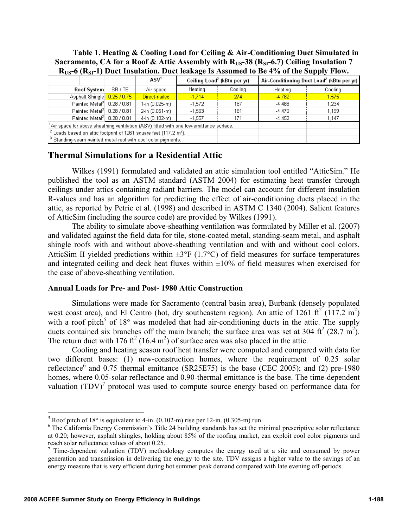### **Table 1. Heating & Cooling Load for Ceiling & Air-Conditioning Duct Simulated in**  Sacramento, CA for a Roof & Attic Assembly with R<sub>US</sub>-38 (R<sub>SI</sub>-6.7) Ceiling Insulation 7 **RUS-6 (RSI-1) Duct Insulation. Duct leakage Is Assumed to Be 4% of the Supply Flow.**

|                                                                                                 |  |         |                  |                                         |         | .                                                     |         |  |  |
|-------------------------------------------------------------------------------------------------|--|---------|------------------|-----------------------------------------|---------|-------------------------------------------------------|---------|--|--|
|                                                                                                 |  |         | ASV <sup>1</sup> | Ceiling Load <sup>2</sup> (kBtu per yr) |         | Air-Conditioning Duct Load <sup>2</sup> (kBtu per yr) |         |  |  |
| Roof System                                                                                     |  | SR / TE | Air space        | Heating                                 | Cooling | Heating                                               | Cooling |  |  |
| Asphalt Shingle 0.25 / 0.75                                                                     |  |         | Direct-nailed    | $-1.714$                                | 274     | $-4,782$                                              | 1.575   |  |  |
| Painted Metal <sup>3</sup>   0.28 / 0.81                                                        |  |         | 1-in (0.025-m)   | $-1.572$                                | 187     | $-4,488$                                              | 1.234   |  |  |
| Painted Metal <sup>3</sup> 0.28 / 0.81                                                          |  |         | 2-in (0.051-m)   | $-1,563$                                | 181     | $-4.470$                                              | 1,199   |  |  |
| Painted Metal <sup>3</sup> $  0.28 / 0.81  $                                                    |  |         | 4-in (0.102-m)   | $-1.557$                                | 171     | $-4.452$                                              | 1,147   |  |  |
| ${}^{1}$ Air space for above sheathing ventilation (ASV) fitted with one low-emittance surface. |  |         |                  |                                         |         |                                                       |         |  |  |
| $2$ Loads based on attic footprint of 1261 square feet (117.2 m <sup>2</sup> ).                 |  |         |                  |                                         |         |                                                       |         |  |  |
| <sup>3</sup> Standing-seam painted metal roof with cool color pigments.                         |  |         |                  |                                         |         |                                                       |         |  |  |

# **Thermal Simulations for a Residential Attic**

Wilkes (1991) formulated and validated an attic simulation tool entitled "AtticSim." He published the tool as an ASTM standard (ASTM 2004) for estimating heat transfer through ceilings under attics containing radiant barriers. The model can account for different insulation R-values and has an algorithm for predicting the effect of air-conditioning ducts placed in the attic, as reported by Petrie et al. (1998) and described in ASTM C 1340 (2004). Salient features of AtticSim (including the source code) are provided by Wilkes (1991).

The ability to simulate above-sheathing ventilation was formulated by Miller et al. (2007) and validated against the field data for tile, stone-coated metal, standing-seam metal, and asphalt shingle roofs with and without above-sheathing ventilation and with and without cool colors. AtticSim II yielded predictions within  $\pm 3^{\circ}F$  (1.7°C) of field measures for surface temperatures and integrated ceiling and deck heat fluxes within  $\pm 10\%$  of field measures when exercised for the case of above-sheathing ventilation.

#### **Annual Loads for Pre- and Post- 1980 Attic Construction**

Simulations were made for Sacramento (central basin area), Burbank (densely populated west coast area), and El Centro (hot, dry southeastern region). An attic of 1261 ft<sup>2</sup> (117.2 m<sup>2</sup>) with a roof pitch<sup>5</sup> of  $18^{\circ}$  was modeled that had air-conditioning ducts in the attic. The supply ducts contained six branches off the main branch; the surface area was set at 304 ft<sup>2</sup> (28.7 m<sup>2</sup>). The return duct with 176 ft<sup>2</sup> (16.4 m<sup>2</sup>) of surface area was also placed in the attic.

Cooling and heating season roof heat transfer were computed and compared with data for two different bases: (1) new-construction homes, where the requirement of 0.25 solar reflectance<sup>6</sup> and 0.75 thermal emittance (SR25E75) is the base (CEC 2005); and (2) pre-1980 homes, where 0.05-solar reflectance and 0.90-thermal emittance is the base. The time-dependent valuation  $(TDV)^7$  protocol was used to compute source energy based on performance data for

<sup>&</sup>lt;sup>5</sup> Roof pitch of 18° is equivalent to 4-in.  $(0.102 \text{--m})$  rise per 12-in.  $(0.305 \text{--m})$  run  $^{6}$  The Celifornic Energy Commission's Title 24 building standards has set the m

<sup>&</sup>lt;sup>6</sup> The California Energy Commission's Title 24 building standards has set the minimal prescriptive solar reflectance at 0.20; however, asphalt shingles, holding about 85% of the roofing market, can exploit cool color pigments and reach solar reflectance values of about 0.25.

 $\frac{7}{1}$  Time-dependent valuation (TDV) methodology computes the energy used at a site and consumed by power generation and transmission in delivering the energy to the site. TDV assigns a higher value to the savings of an energy measure that is very efficient during hot summer peak demand compared with late evening off-periods.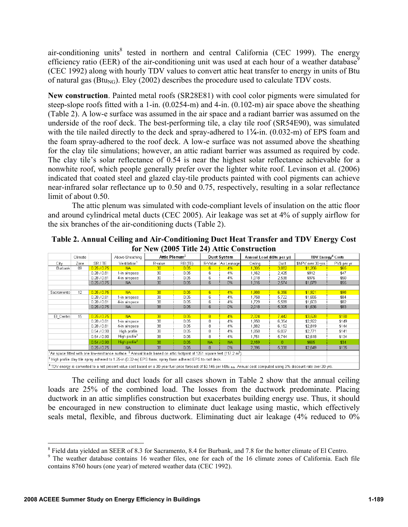air-conditioning units<sup>8</sup> tested in northern and central California (CEC 1999). The energy efficiency ratio (EER) of the air-conditioning unit was used at each hour of a weather database<sup>9</sup> (CEC 1992) along with hourly TDV values to convert attic heat transfer to energy in units of Btu of natural gas ( $\text{Btu}_{\text{NG}}$ ). Eley (2002) describes the procedure used to calculate TDV costs.

**New construction**. Painted metal roofs (SR28E81) with cool color pigments were simulated for steep-slope roofs fitted with a 1-in. (0.0254-m) and 4-in. (0.102-m) air space above the sheathing (Table 2). A low-e surface was assumed in the air space and a radiant barrier was assumed on the underside of the roof deck. The best-performing tile, a clay tile roof (SR54E90), was simulated with the tile nailed directly to the deck and spray-adhered to  $1\frac{\lambda}{4}$ -in. (0.032-m) of EPS foam and the foam spray-adhered to the roof deck. A low-e surface was not assumed above the sheathing for the clay tile simulations; however, an attic radiant barrier was assumed as required by code. The clay tile's solar reflectance of 0.54 is near the highest solar reflectance achievable for a nonwhite roof, which people generally prefer over the lighter white roof. Levinson et al. (2006) indicated that coated steel and glazed clay-tile products painted with cool pigments can achieve near-infrared solar reflectance up to 0.50 and 0.75, respectively, resulting in a solar reflectance limit of about 0.50.

The attic plenum was simulated with code-compliant levels of insulation on the attic floor and around cylindrical metal ducts (CEC 2005). Air leakage was set at 4% of supply airflow for the six branches of the air-conditioning ducts (Table 2).

| TOT TWO (2005 THIN 27) AUDU CONSU ACHOH                                                                                                                                                       |         |             |                                                                                                             |                           |         |                    |             |                           |       |                                     |             |
|-----------------------------------------------------------------------------------------------------------------------------------------------------------------------------------------------|---------|-------------|-------------------------------------------------------------------------------------------------------------|---------------------------|---------|--------------------|-------------|---------------------------|-------|-------------------------------------|-------------|
|                                                                                                                                                                                               | Climate |             | Above-Sheathing                                                                                             | Attic Plenum <sup>2</sup> |         | <b>Duct System</b> |             | Annual Load (kBtu per vr) |       | <b>TDV Energy<sup>4</sup> Costs</b> |             |
| City                                                                                                                                                                                          | Zone    | SR / TE     | Ventilation <sup>1</sup>                                                                                    | R-value                   | RB (TE) | R-Value            | Air Leakage | Ceiling                   | Duct  | \$NPV over 30-yrs                   | PV\$ per yr |
| Burbank                                                                                                                                                                                       | 09      | 0.25/0.75   | <b>NA</b>                                                                                                   | 30                        | 0.05    | 6                  | 4%          | 1,305                     | 3,082 | \$1,266                             | \$65        |
|                                                                                                                                                                                               |         | 0.28 / 0.81 | 1-in airspace                                                                                               | 30                        | 0.05    | ĥ                  | 4%          | 1,162                     | 2.425 | \$912                               | \$47        |
|                                                                                                                                                                                               |         | 0.28 / 0.81 | 4-in airspace                                                                                               | 30                        | 0.05    | 6                  | 4%          | 1,018                     | 2,538 | \$976                               | \$50        |
|                                                                                                                                                                                               |         | 0.25 / 0.75 | <b>NA</b>                                                                                                   | 30 <sub>2</sub>           | 0.05    | 6                  | 0%          | 1,316                     | 2,574 | \$1,079                             | \$55        |
|                                                                                                                                                                                               |         |             |                                                                                                             |                           |         |                    |             |                           |       |                                     |             |
| Sacramento                                                                                                                                                                                    | 12      | 0.25/0.75   | <b>NA</b>                                                                                                   | 38                        | 0.05    | 6                  | 4%          | 1,988                     | 6,356 | \$1,921                             | \$98        |
|                                                                                                                                                                                               |         | 0.28 / 0.81 | 1-in airspace                                                                                               | 38                        | 0.05    | 6                  | 4%          | 1,758                     | 5,722 | \$1,655                             | \$84        |
|                                                                                                                                                                                               |         | 0.28 / 0.81 | 4-in airspace                                                                                               | 38                        | 0.05    | 6                  | 4%          | 1,729                     | 5,599 | \$1,603                             | \$82        |
|                                                                                                                                                                                               |         | 0.25 / 0.75 | <b>NA</b>                                                                                                   | 38                        | 0.05    | 6                  | 0%          | 2,018                     | 5,305 | \$1,636                             | \$83        |
|                                                                                                                                                                                               |         |             |                                                                                                             |                           |         |                    |             |                           |       |                                     |             |
| El Centro                                                                                                                                                                                     | 15      | 0.25/0.75   | <b>NA</b>                                                                                                   | 38                        | 0.05    | $\overline{8}$     | 4%          | 2,324                     | 7.442 | \$3,528                             | \$180       |
|                                                                                                                                                                                               |         | 0.28 / 0.81 | 1-in airspace                                                                                               | 38                        | 0.05    | я                  | 4%          | 1.950                     | 6,354 | \$2,922                             | \$149       |
|                                                                                                                                                                                               |         | 0.28 / 0.81 | 4-in airspace                                                                                               | 38                        | 0.05    | 8                  | 4%          | 1.882                     | 6,152 | \$2,819                             | \$144       |
|                                                                                                                                                                                               |         | 0.54 / 0.90 | High profile                                                                                                | 38                        | 0.05    | 8                  | 4%          | 1,858                     | 6,037 | \$2,771                             | \$141       |
|                                                                                                                                                                                               |         | 0.54 / 0.90 | High profile <sup>3</sup>                                                                                   | 38                        | 0.05    | 8                  | 4%          | 1.751                     | 5,744 | \$2,618                             | \$134       |
|                                                                                                                                                                                               |         | 0.54 / 0.90 | High profile <sup>3</sup>                                                                                   | 38                        | 0.05    | <b>NA</b>          | NA.         | 2,159                     | n     | \$665                               | \$34        |
|                                                                                                                                                                                               |         | 0.25 / 0.75 | <b>NA</b>                                                                                                   | 38                        | 0.05    | 8                  | 0%          | 2,396                     | 5,338 | \$2,649                             | \$135       |
| $^1$ Air space fitted with one low-emittance surface. $^2$ Annual loads based on attic footprint of 1261 square feet (117.2 m $^2$ )                                                          |         |             |                                                                                                             |                           |         |                    |             |                           |       |                                     |             |
|                                                                                                                                                                                               |         |             | $3$ High profile clay tile spray adhered to 1.25-in (0.32-m) EPS foam; spray foam adhered EPS to roof deck. |                           |         |                    |             |                           |       |                                     |             |
| $^4$ TDV energy is converted to a net present value cost based on a 30-year fuel price forecast of \$0.145 per kBtu $_{\text{NO}}$ . Annual cost computed using 3% discount rate over 30-yrs. |         |             |                                                                                                             |                           |         |                    |             |                           |       |                                     |             |

**Table 2. Annual Ceiling and Air-Conditioning Duct Heat Transfer and TDV Energy Cost for New (2005 Title 24) Attic Construction** 

The ceiling and duct loads for all cases shown in Table 2 show that the annual ceiling loads are 25% of the combined load. The losses from the ductwork predominate. Placing ductwork in an attic simplifies construction but exacerbates building energy use. Thus, it should be encouraged in new construction to eliminate duct leakage using mastic, which effectively seals metal, flexible, and fibrous ductwork. Eliminating duct air leakage (4% reduced to 0%

<u>.</u>

<sup>&</sup>lt;sup>8</sup> Field data yielded an SEER of 8.3 for Sacramento, 8.4 for Burbank, and 7.8 for the hotter climate of El Centro.

<sup>&</sup>lt;sup>9</sup> The weather database contains 16 weather files, one for each of the 16 climate zones of California. Each file contains 8760 hours (one year) of metered weather data (CEC 1992).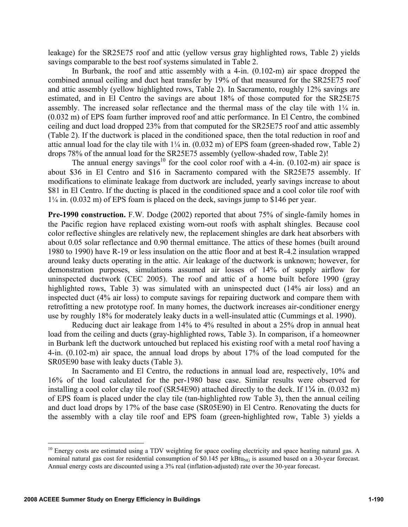leakage) for the SR25E75 roof and attic (yellow versus gray highlighted rows, Table 2) yields savings comparable to the best roof systems simulated in Table 2.

In Burbank, the roof and attic assembly with a 4-in. (0.102-m) air space dropped the combined annual ceiling and duct heat transfer by 19% of that measured for the SR25E75 roof and attic assembly (yellow highlighted rows, Table 2). In Sacramento, roughly 12% savings are estimated, and in El Centro the savings are about 18% of those computed for the SR25E75 assembly. The increased solar reflectance and the thermal mass of the clay tile with 1¼ in. (0.032 m) of EPS foam further improved roof and attic performance. In El Centro, the combined ceiling and duct load dropped 23% from that computed for the SR25E75 roof and attic assembly (Table 2). If the ductwork is placed in the conditioned space, then the total reduction in roof and attic annual load for the clay tile with  $1/4$  in.  $(0.032 \text{ m})$  of EPS foam (green-shaded row, Table 2) drops 78% of the annual load for the SR25E75 assembly (yellow-shaded row, Table 2)!

The annual energy savings<sup>10</sup> for the cool color roof with a 4-in.  $(0.102 \text{--} \text{m})$  air space is about \$36 in El Centro and \$16 in Sacramento compared with the SR25E75 assembly. If modifications to eliminate leakage from ductwork are included, yearly savings increase to about \$81 in El Centro. If the ducting is placed in the conditioned space and a cool color tile roof with 1¼ in. (0.032 m) of EPS foam is placed on the deck, savings jump to \$146 per year.

**Pre-1990 construction.** F.W. Dodge (2002) reported that about 75% of single-family homes in the Pacific region have replaced existing worn-out roofs with asphalt shingles. Because cool color reflective shingles are relatively new, the replacement shingles are dark heat absorbers with about 0.05 solar reflectance and 0.90 thermal emittance. The attics of these homes (built around 1980 to 1990) have R-19 or less insulation on the attic floor and at best R-4.2 insulation wrapped around leaky ducts operating in the attic. Air leakage of the ductwork is unknown; however, for demonstration purposes, simulations assumed air losses of 14% of supply airflow for uninspected ductwork (CEC 2005). The roof and attic of a home built before 1990 (gray highlighted rows, Table 3) was simulated with an uninspected duct (14% air loss) and an inspected duct (4% air loss) to compute savings for repairing ductwork and compare them with retrofitting a new prototype roof. In many homes, the ductwork increases air-conditioner energy use by roughly 18% for moderately leaky ducts in a well-insulated attic (Cummings et al. 1990).

Reducing duct air leakage from 14% to 4% resulted in about a 25% drop in annual heat load from the ceiling and ducts (gray-highlighted rows, Table 3). In comparison, if a homeowner in Burbank left the ductwork untouched but replaced his existing roof with a metal roof having a 4-in. (0.102-m) air space, the annual load drops by about 17% of the load computed for the SR05E90 base with leaky ducts (Table 3).

In Sacramento and El Centro, the reductions in annual load are, respectively, 10% and 16% of the load calculated for the per-1980 base case. Similar results were observed for installing a cool color clay tile roof (SR54E90) attached directly to the deck. If 1¼ in. (0.032 m) of EPS foam is placed under the clay tile (tan-highlighted row Table 3), then the annual ceiling and duct load drops by 17% of the base case (SR05E90) in El Centro. Renovating the ducts for the assembly with a clay tile roof and EPS foam (green-highlighted row, Table 3) yields a

 $10$  Energy costs are estimated using a TDV weighting for space cooling electricity and space heating natural gas. A nominal natural gas cost for residential consumption of \$0.145 per  $kBu_{NG}$  is assumed based on a 30-year forecast. Annual energy costs are discounted using a 3% real (inflation-adjusted) rate over the 30-year forecast.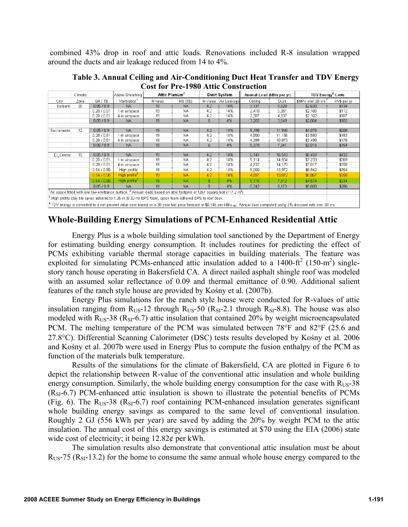combined 43% drop in roof and attic loads. Renovations included R-8 insulation wrapped around the ducts and air leakage reduced from 14 to 4%.

**Table 3. Annual Ceiling and Air-Conditioning Duct Heat Transfer and TDV Energy Cost for Pre-1980 Attic Construction** 

|                                                                                                                                                                                            | Climate |             | Above-Sheathing           | Attic Plenum <sup>2</sup> |           | Duct System |             | Annual Load (kBtu per yr) |        | <b>TDV Energy<sup>4</sup> Costs</b> |             |
|--------------------------------------------------------------------------------------------------------------------------------------------------------------------------------------------|---------|-------------|---------------------------|---------------------------|-----------|-------------|-------------|---------------------------|--------|-------------------------------------|-------------|
| City                                                                                                                                                                                       | Zone    | SR/TE       | Ventilation <sup>1</sup>  | R-value                   | RB (TE)   | R-Value     | Air Leakage | Ceiling                   | Duct   | \$NPV over 30-yrs                   | PV\$ per yr |
| Burbank                                                                                                                                                                                    | 09      | 0.05 / 0.9  | <b>NA</b>                 | 19                        | <b>NA</b> | 4.2         | 14%         | 3,137                     | 5,620  | \$2,630                             | \$134       |
|                                                                                                                                                                                            |         | 0.28 / 0.81 | 1-in airspace             | 19                        | <b>NA</b> | 4.2         | 14%         | 2,410                     | 5,081  | \$2,186                             | \$112       |
|                                                                                                                                                                                            |         | 0.28 / 0.81 | 4-in airspace             | 19                        | <b>NA</b> | 4.2         | 14%         | 2,307                     | 4,937  | \$2,102                             | \$107       |
|                                                                                                                                                                                            |         | 0.05 / 0.9  | NA.                       | 19                        | <b>NA</b> | 6           | 4%          | 3,202                     | 3,649  | \$2,004                             | \$102       |
|                                                                                                                                                                                            |         |             |                           |                           |           |             |             |                           |        |                                     |             |
| Sacramento                                                                                                                                                                                 | 12      | 0.05 / 0.9  | <b>NA</b>                 | 19                        | <b>NA</b> | 4.2         | 14%         | 5,198                     | 11,946 | \$4,076                             | \$208       |
|                                                                                                                                                                                            |         | 0.28 / 0.81 | 1-in airspace             | 19                        | NA.       | 4.2         | 14%         | 4,500                     | 11,156 | \$3,590                             | \$183       |
|                                                                                                                                                                                            |         | 0.28 / 0.81 | 4-in airspace             | 19                        | <b>NA</b> | 4.2         | 14%         | 4,399                     | 10,973 | \$3,498                             | \$178       |
|                                                                                                                                                                                            |         | 0.05 / 0.9  | <b>NA</b>                 | 19                        | <b>NA</b> | 6           | 4%          | 5,378                     | 7,341  | \$3,016                             | \$154       |
|                                                                                                                                                                                            |         |             |                           |                           |           |             |             |                           |        |                                     |             |
| El Centro                                                                                                                                                                                  | 15      | 0.05 / 0.9  | <b>NA</b>                 | 19                        | <b>NA</b> | 4.2         | 14%         | 6,141                     | 16,518 | \$8,459                             | \$432       |
|                                                                                                                                                                                            |         | 0.28 / 0.81 | 1-in airspace             | 19                        | <b>NA</b> | 4.2         | 14%         | 5,114                     | 14,554 | \$7,233                             | \$369       |
|                                                                                                                                                                                            |         | 0.28 / 0.81 | 4-in airspace             | 19                        | NA.       | 4.2         | 14%         | 4,932                     | 14,178 | \$7,017                             | \$358       |
|                                                                                                                                                                                            |         | 0.54 / 0.90 | High profile              | 19                        | <b>NA</b> | 4.2         | 14%         | 5,000                     | 13,972 | \$6,942                             | \$354       |
|                                                                                                                                                                                            |         | 0.54 / 0.90 | High profile <sup>3</sup> | 19                        | <b>NA</b> | 4.2         | 14%         | 4,897                     | 13,872 | \$6,867                             | \$350       |
|                                                                                                                                                                                            |         | 0.54 / 0.90 | High profile <sup>3</sup> | 19                        | <b>NA</b> | 8           | 4%          | 5,116                     | 7,812  | \$4,579                             | \$234       |
|                                                                                                                                                                                            |         | 0.05 / 0.9  | <b>NA</b>                 | 19                        | <b>NA</b> | 8           | 4%          | 6.342                     | 9.173  | \$5,608                             | \$286       |
| $1$ Air space fitted with one low-emittance surface. $2$ Annual loads based on attic footprint of 1261 square feet (117.2 m <sup>2</sup> ).                                                |         |             |                           |                           |           |             |             |                           |        |                                     |             |
| $^3$ High profile clay tile spray adhered to 1.25-in (0.32-m) EPS foam; spray foam adhered EPS to roof deck.                                                                               |         |             |                           |                           |           |             |             |                           |        |                                     |             |
| $^4$ TDV energy is converted to a net present value cost based on a 30-year fuel price forecast of \$0.145 per kBtu $_{\rm NO}$ . Annual cost computed using 3% discount rate over 30-yrs. |         |             |                           |                           |           |             |             |                           |        |                                     |             |

# **Whole-Building Energy Simulations of PCM-Enhanced Residential Attic**

Energy Plus is a whole building simulation tool sanctioned by the Department of Energy for estimating building energy consumption. It includes routines for predicting the effect of PCMs exhibiting variable thermal storage capacities in building materials. The feature was exploited for simulating PCMs-enhanced attic insulation added to a 1400- $\text{ft}^2$  (150-m<sup>2</sup>) singlestory ranch house operating in Bakersfield CA. A direct nailed asphalt shingle roof was modeled with an assumed solar reflectance of 0.09 and thermal emittance of 0.90. Additional salient features of the ranch style house are provided by Kośny et al. (2007b).

Energy Plus simulations for the ranch style house were conducted for R-values of attic insulation ranging from  $R_{US}$ -12 through  $R_{US}$ -50 ( $R_{SI}$ -2.1 through  $R_{SI}$ -8.8). The house was also modeled with  $R_{US}$ -38 ( $R_{SI}$ -6.7) attic insulation that contained 20% by weight microencapsulated PCM. The melting temperature of the PCM was simulated between 78°F and 82°F (25.6 and 27.8°C). Differential Scanning Calorimeter (DSC) tests results developed by Kośny et al. 2006 and Kośny et al. 2007b were used in Energy Plus to compute the fusion enthalpy of the PCM as function of the materials bulk temperature.

Results of the simulations for the climate of Bakersfield, CA are plotted in Figure 6 to depict the relationship between R-value of the conventional attic insulation and whole building energy consumption. Similarly, the whole building energy consumption for the case with  $R_{US}$ -38  $(R<sub>SI</sub>-6.7)$  PCM-enhanced attic insulation is shown to illustrate the potential benefits of PCMs (Fig. 6). The  $R_{US}$ -38 ( $R_{SI}$ -6.7) roof containing PCM-enhanced insulation generates significant whole building energy savings as compared to the same level of conventional insulation. Roughly 2 GJ (556 kWh per year) are saved by adding the 20% by weight PCM to the attic insulation. The annual cost of this energy savings is estimated at \$70 using the EIA (2006) state wide cost of electricity; it being 12.82¢ per kWh.

The simulation results also demonstrate that conventional attic insulation must be about  $R<sub>US</sub>$ -75 ( $R<sub>SI</sub>$ -13.2) for the home to consume the same annual whole house energy compared to the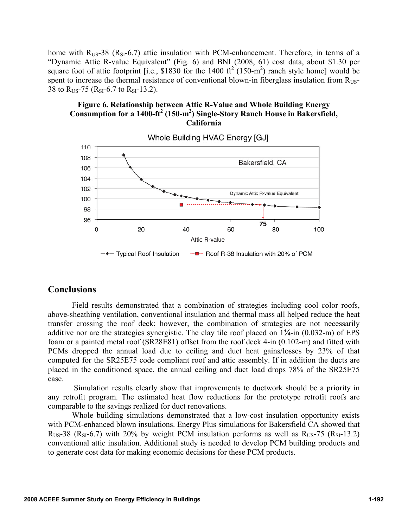home with  $R_{US}$ -38 ( $R_{SI}$ -6.7) attic insulation with PCM-enhancement. Therefore, in terms of a "Dynamic Attic R-value Equivalent" (Fig. 6) and BNI (2008, 61) cost data, about \$1.30 per square foot of attic footprint [i.e., \$1830 for the 1400  $\text{ft}^2$  (150-m<sup>2</sup>) ranch style home] would be spent to increase the thermal resistance of conventional blown-in fiberglass insulation from R<sub>US</sub>-38 to  $R_{US}$ -75 ( $R_{SI}$ -6.7 to  $R_{SI}$ -13.2).

## **Figure 6. Relationship between Attic R-Value and Whole Building Energy**  Consumption for a 1400-ft<sup>2</sup> (150-m<sup>2</sup>) Single-Story Ranch House in Bakersfield, **California**



# **Conclusions**

Field results demonstrated that a combination of strategies including cool color roofs, above-sheathing ventilation, conventional insulation and thermal mass all helped reduce the heat transfer crossing the roof deck; however, the combination of strategies are not necessarily additive nor are the strategies synergistic. The clay tile roof placed on  $1\frac{\text{m}}{4}$ -in (0.032-m) of EPS foam or a painted metal roof (SR28E81) offset from the roof deck 4-in (0.102-m) and fitted with PCMs dropped the annual load due to ceiling and duct heat gains/losses by 23% of that computed for the SR25E75 code compliant roof and attic assembly. If in addition the ducts are placed in the conditioned space, the annual ceiling and duct load drops 78% of the SR25E75 case.

 Simulation results clearly show that improvements to ductwork should be a priority in any retrofit program. The estimated heat flow reductions for the prototype retrofit roofs are comparable to the savings realized for duct renovations.

Whole building simulations demonstrated that a low-cost insulation opportunity exists with PCM-enhanced blown insulations. Energy Plus simulations for Bakersfield CA showed that  $R_{US}$ -38 ( $R_{SI}$ -6.7) with 20% by weight PCM insulation performs as well as  $R_{US}$ -75 ( $R_{SI}$ -13.2) conventional attic insulation. Additional study is needed to develop PCM building products and to generate cost data for making economic decisions for these PCM products.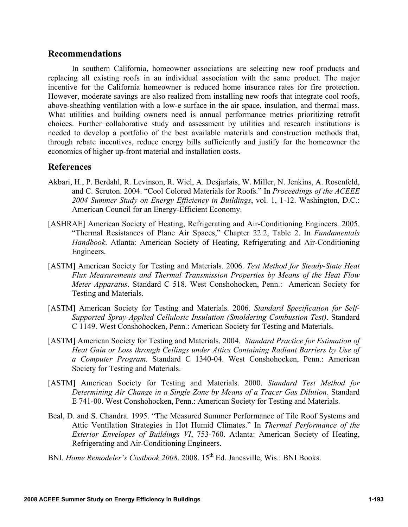# **Recommendations**

In southern California, homeowner associations are selecting new roof products and replacing all existing roofs in an individual association with the same product. The major incentive for the California homeowner is reduced home insurance rates for fire protection. However, moderate savings are also realized from installing new roofs that integrate cool roofs, above-sheathing ventilation with a low-e surface in the air space, insulation, and thermal mass. What utilities and building owners need is annual performance metrics prioritizing retrofit choices. Further collaborative study and assessment by utilities and research institutions is needed to develop a portfolio of the best available materials and construction methods that, through rebate incentives, reduce energy bills sufficiently and justify for the homeowner the economics of higher up-front material and installation costs.

# **References**

- Akbari, H., P. Berdahl, R. Levinson, R. Wiel, A. Desjarlais, W. Miller, N. Jenkins, A. Rosenfeld, and C. Scruton. 2004. "Cool Colored Materials for Roofs." In *Proceedings of the ACEEE 2004 Summer Study on Energy Efficiency in Buildings*, vol. 1, 1-12. Washington, D.C.: American Council for an Energy-Efficient Economy.
- [ASHRAE] American Society of Heating, Refrigerating and Air-Conditioning Engineers. 2005. "Thermal Resistances of Plane Air Spaces," Chapter 22.2, Table 2. In *Fundamentals Handbook*. Atlanta: American Society of Heating, Refrigerating and Air-Conditioning Engineers.
- [ASTM] American Society for Testing and Materials. 2006. *Test Method for Steady-State Heat Flux Measurements and Thermal Transmission Properties by Means of the Heat Flow Meter Apparatus*. Standard C 518. West Conshohocken, Penn.: American Society for Testing and Materials.
- [ASTM] American Society for Testing and Materials. 2006. *Standard Specification for Self-Supported Spray-Applied Cellulosic Insulation (Smoldering Combustion Test)*. Standard C 1149. West Conshohocken, Penn.: American Society for Testing and Materials.
- [ASTM] American Society for Testing and Materials. 2004. *Standard Practice for Estimation of Heat Gain or Loss through Ceilings under Attics Containing Radiant Barriers by Use of a Computer Program.* Standard C 1340-04. West Conshohocken, Penn.: American Society for Testing and Materials.
- [ASTM] American Society for Testing and Materials. 2000. *Standard Test Method for Determining Air Change in a Single Zone by Means of a Tracer Gas Dilution*. Standard E 741-00. West Conshohocken, Penn.: American Society for Testing and Materials.
- Beal, D. and S. Chandra. 1995. "The Measured Summer Performance of Tile Roof Systems and Attic Ventilation Strategies in Hot Humid Climates." In *Thermal Performance of the Exterior Envelopes of Buildings VI*, 753-760. Atlanta: American Society of Heating, Refrigerating and Air-Conditioning Engineers.
- BNI. *Home Remodeler's Costbook 2008*. 2008. 15<sup>th</sup> Ed. Janesville, Wis.: BNI Books.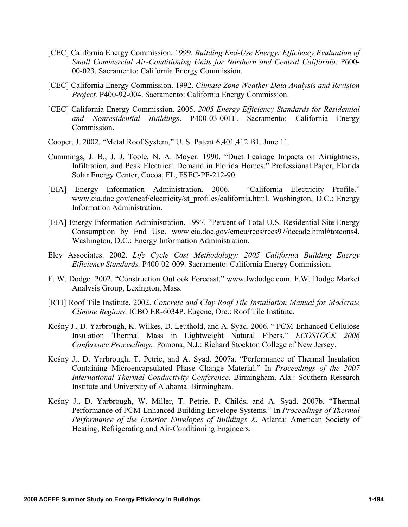- [CEC] California Energy Commission. 1999. *Building End-Use Energy: Efficiency Evaluation of Small Commercial Air-Conditioning Units for Northern and Central California*. P600- 00-023. Sacramento: California Energy Commission.
- [CEC] California Energy Commission. 1992. *Climate Zone Weather Data Analysis and Revision Project.* P400-92-004. Sacramento: California Energy Commission.
- [CEC] California Energy Commission. 2005. *2005 Energy Efficiency Standards for Residential and Nonresidential Buildings*. P400-03-001F. Sacramento: California Energy **Commission**
- Cooper, J. 2002. "Metal Roof System," U. S. Patent 6,401,412 B1. June 11.
- Cummings, J. B., J. J. Toole, N. A. Moyer. 1990. "Duct Leakage Impacts on Airtightness, Infiltration, and Peak Electrical Demand in Florida Homes." Professional Paper, Florida Solar Energy Center, Cocoa, FL, FSEC-PF-212-90.
- [EIA] Energy Information Administration. 2006. "California Electricity Profile." www.eia.doe.gov/cneaf/electricity/st\_profiles/california.html. Washington, D.C.: Energy Information Administration.
- [EIA] Energy Information Administration. 1997. "Percent of Total U.S. Residential Site Energy Consumption by End Use. www.eia.doe.gov/emeu/recs/recs97/decade.html#totcons4. Washington, D.C.: Energy Information Administration.
- Eley Associates. 2002. *Life Cycle Cost Methodology: 2005 California Building Energy Efficiency Standards.* P400-02-009. Sacramento: California Energy Commission.
- F. W. Dodge. 2002. "Construction Outlook Forecast." www.fwdodge.com. F.W. Dodge Market Analysis Group, Lexington, Mass.
- [RTI] Roof Tile Institute. 2002. *Concrete and Clay Roof Tile Installation Manual for Moderate Climate Regions*. ICBO ER-6034P. Eugene, Ore.: Roof Tile Institute.
- Kośny J., D. Yarbrough, K. Wilkes, D. Leuthold, and A. Syad. 2006. " PCM-Enhanced Cellulose Insulation—Thermal Mass in Lightweight Natural Fibers." *ECOSTOCK 2006 Conference Proceedings*. Pomona, N.J.: Richard Stockton College of New Jersey.
- Kośny J., D. Yarbrough, T. Petrie, and A. Syad. 2007a. "Performance of Thermal Insulation Containing Microencapsulated Phase Change Material." In *Proceedings of the 2007 International Thermal Conductivity Conference*. Birmingham, Ala.: Southern Research Institute and University of Alabama–Birmingham.
- Kośny J., D. Yarbrough, W. Miller, T. Petrie, P. Childs, and A. Syad. 2007b. "Thermal Performance of PCM-Enhanced Building Envelope Systems." In *Proceedings of Thermal Performance of the Exterior Envelopes of Buildings X*. Atlanta: American Society of Heating, Refrigerating and Air-Conditioning Engineers.